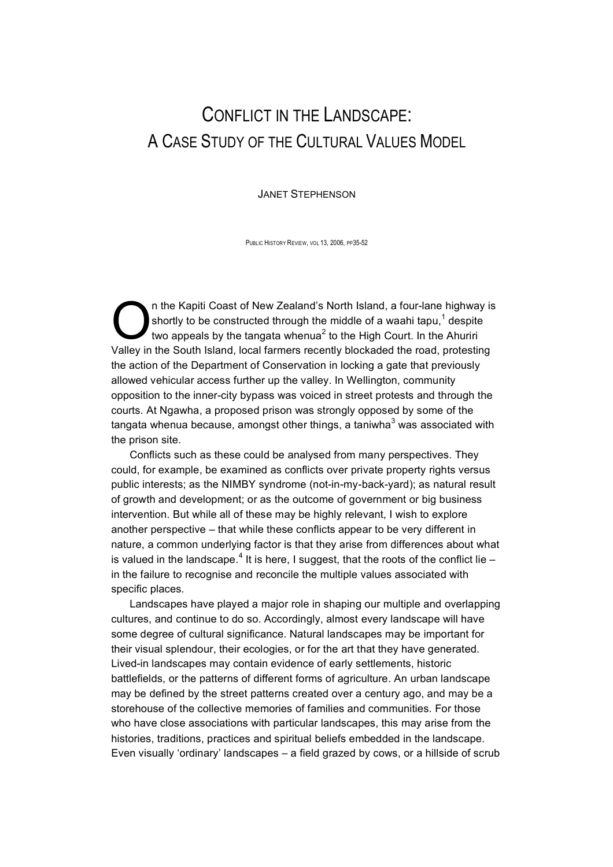# CONFLICT IN THE LANDSCAPE: A CASE STUDY OF THE CULTURAL VALUES MODEL

JANET STEPHENSON

PUBLIC HISTORY REVIEW, VOL 13, 2006, PP35-52

n the Kapiti Coast of New Zealand's North Island, a four-lane highway is shortly to be constructed through the middle of a waahi tapu,<sup>1</sup> despite two appeals by the tangata whenua<sup>2</sup> to the High Court. In the Ahuriri Valley in the South Island, local farmers recently blockaded the road, protesting the action of the Department of Conservation in locking a gate that previously allowed vehicular access further up the valley. In Wellington, community opposition to the inner-city bypass was voiced in street protests and through the courts. At Ngawha, a proposed prison was strongly opposed by some of the tangata whenua because, amongst other things, a taniwha<sup>3</sup> was associated with the prison site. O

Conflicts such as these could be analysed from many perspectives. They could, for example, be examined as conflicts over private property rights versus public interests; as the NIMBY syndrome (not-in-my-back-yard); as natural result of growth and development; or as the outcome of government or big business intervention. But while all of these may be highly relevant, I wish to explore another perspective – that while these conflicts appear to be very different in nature, a common underlying factor is that they arise from differences about what is valued in the landscape.<sup>4</sup> It is here, I suggest, that the roots of the conflict lie  $$ in the failure to recognise and reconcile the multiple values associated with specific places.

Landscapes have played a major role in shaping our multiple and overlapping cultures, and continue to do so. Accordingly, almost every landscape will have some degree of cultural significance. Natural landscapes may be important for their visual splendour, their ecologies, or for the art that they have generated. Lived-in landscapes may contain evidence of early settlements, historic battlefields, or the patterns of different forms of agriculture. An urban landscape may be defined by the street patterns created over a century ago, and may be a storehouse of the collective memories of families and communities. For those who have close associations with particular landscapes, this may arise from the histories, traditions, practices and spiritual beliefs embedded in the landscape. Even visually 'ordinary' landscapes – a field grazed by cows, or a hillside of scrub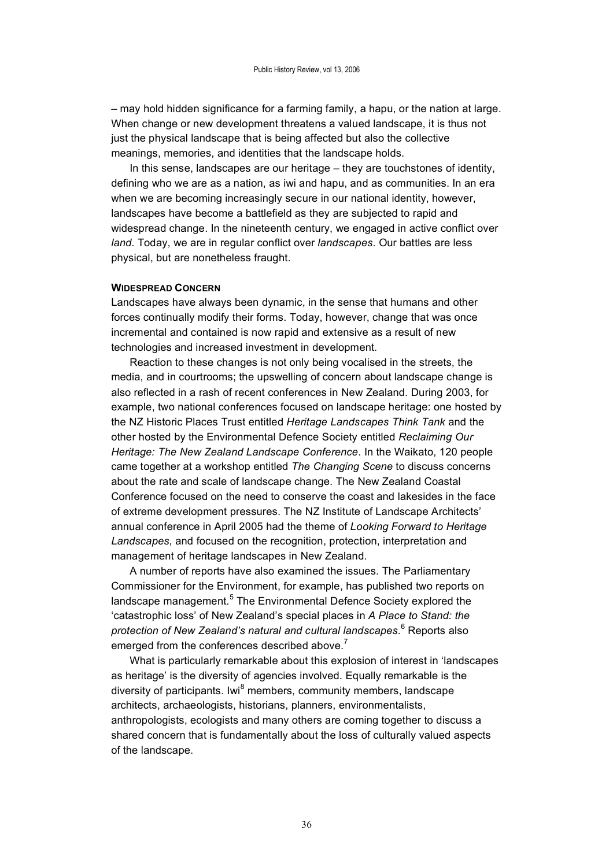– may hold hidden significance for a farming family, a hapu, or the nation at large. When change or new development threatens a valued landscape, it is thus not just the physical landscape that is being affected but also the collective meanings, memories, and identities that the landscape holds.

In this sense, landscapes are our heritage – they are touchstones of identity, defining who we are as a nation, as iwi and hapu, and as communities. In an era when we are becoming increasingly secure in our national identity, however, landscapes have become a battlefield as they are subjected to rapid and widespread change. In the nineteenth century, we engaged in active conflict over *land*. Today, we are in regular conflict over *landscapes*. Our battles are less physical, but are nonetheless fraught.

## **WIDESPREAD CONCERN**

Landscapes have always been dynamic, in the sense that humans and other forces continually modify their forms. Today, however, change that was once incremental and contained is now rapid and extensive as a result of new technologies and increased investment in development.

Reaction to these changes is not only being vocalised in the streets, the media, and in courtrooms; the upswelling of concern about landscape change is also reflected in a rash of recent conferences in New Zealand. During 2003, for example, two national conferences focused on landscape heritage: one hosted by the NZ Historic Places Trust entitled *Heritage Landscapes Think Tank* and the other hosted by the Environmental Defence Society entitled *Reclaiming Our Heritage: The New Zealand Landscape Conference*. In the Waikato, 120 people came together at a workshop entitled *The Changing Scene* to discuss concerns about the rate and scale of landscape change. The New Zealand Coastal Conference focused on the need to conserve the coast and lakesides in the face of extreme development pressures. The NZ Institute of Landscape Architects' annual conference in April 2005 had the theme of *Looking Forward to Heritage Landscapes*, and focused on the recognition, protection, interpretation and management of heritage landscapes in New Zealand.

A number of reports have also examined the issues. The Parliamentary Commissioner for the Environment, for example, has published two reports on landscape management.<sup>5</sup> The Environmental Defence Society explored the 'catastrophic loss' of New Zealand's special places in *A Place to Stand: the protection of New Zealand's natural and cultural landscapes*. <sup>6</sup> Reports also emerged from the conferences described above.<sup>7</sup>

What is particularly remarkable about this explosion of interest in 'landscapes as heritage' is the diversity of agencies involved. Equally remarkable is the diversity of participants. Iwi<sup>8</sup> members, community members, landscape architects, archaeologists, historians, planners, environmentalists, anthropologists, ecologists and many others are coming together to discuss a shared concern that is fundamentally about the loss of culturally valued aspects of the landscape.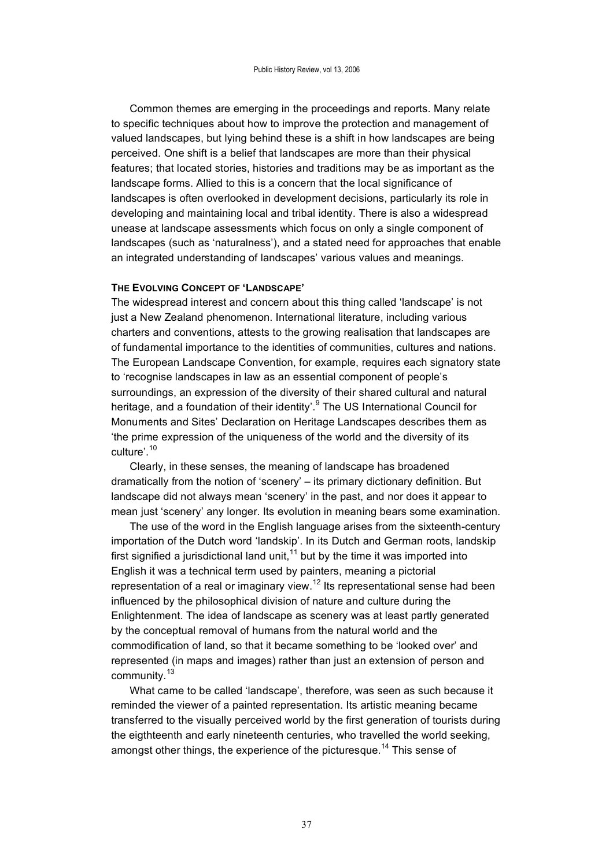Common themes are emerging in the proceedings and reports. Many relate to specific techniques about how to improve the protection and management of valued landscapes, but lying behind these is a shift in how landscapes are being perceived. One shift is a belief that landscapes are more than their physical features; that located stories, histories and traditions may be as important as the landscape forms. Allied to this is a concern that the local significance of landscapes is often overlooked in development decisions, particularly its role in developing and maintaining local and tribal identity. There is also a widespread unease at landscape assessments which focus on only a single component of landscapes (such as 'naturalness'), and a stated need for approaches that enable an integrated understanding of landscapes' various values and meanings.

# **THE EVOLVING CONCEPT OF 'LANDSCAPE'**

The widespread interest and concern about this thing called 'landscape' is not just a New Zealand phenomenon. International literature, including various charters and conventions, attests to the growing realisation that landscapes are of fundamental importance to the identities of communities, cultures and nations. The European Landscape Convention, for example, requires each signatory state to 'recognise landscapes in law as an essential component of people's surroundings, an expression of the diversity of their shared cultural and natural heritage, and a foundation of their identity'.<sup>9</sup> The US International Council for Monuments and Sites' Declaration on Heritage Landscapes describes them as 'the prime expression of the uniqueness of the world and the diversity of its culture'. 10

Clearly, in these senses, the meaning of landscape has broadened dramatically from the notion of 'scenery' – its primary dictionary definition. But landscape did not always mean 'scenery' in the past, and nor does it appear to mean just 'scenery' any longer. Its evolution in meaning bears some examination.

The use of the word in the English language arises from the sixteenth-century importation of the Dutch word 'landskip'. In its Dutch and German roots, landskip first signified a jurisdictional land unit, $^{11}$  but by the time it was imported into English it was a technical term used by painters, meaning a pictorial representation of a real or imaginary view.<sup>12</sup> Its representational sense had been influenced by the philosophical division of nature and culture during the Enlightenment. The idea of landscape as scenery was at least partly generated by the conceptual removal of humans from the natural world and the commodification of land, so that it became something to be 'looked over' and represented (in maps and images) rather than just an extension of person and community.<sup>13</sup>

What came to be called 'landscape', therefore, was seen as such because it reminded the viewer of a painted representation. Its artistic meaning became transferred to the visually perceived world by the first generation of tourists during the eigthteenth and early nineteenth centuries, who travelled the world seeking, amongst other things, the experience of the picturesque.<sup>14</sup> This sense of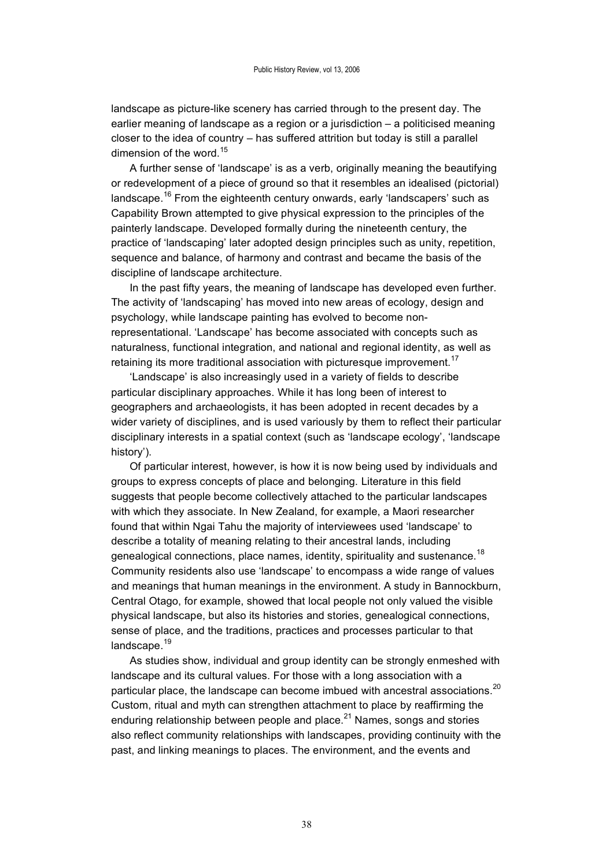landscape as picture-like scenery has carried through to the present day. The earlier meaning of landscape as a region or a jurisdiction – a politicised meaning closer to the idea of country – has suffered attrition but today is still a parallel dimension of the word.<sup>15</sup>

A further sense of 'landscape' is as a verb, originally meaning the beautifying or redevelopment of a piece of ground so that it resembles an idealised (pictorial) landscape.<sup>16</sup> From the eighteenth century onwards, early 'landscapers' such as Capability Brown attempted to give physical expression to the principles of the painterly landscape. Developed formally during the nineteenth century, the practice of 'landscaping' later adopted design principles such as unity, repetition, sequence and balance, of harmony and contrast and became the basis of the discipline of landscape architecture.

In the past fifty years, the meaning of landscape has developed even further. The activity of 'landscaping' has moved into new areas of ecology, design and psychology, while landscape painting has evolved to become nonrepresentational. 'Landscape' has become associated with concepts such as naturalness, functional integration, and national and regional identity, as well as retaining its more traditional association with picturesque improvement.<sup>17</sup>

'Landscape' is also increasingly used in a variety of fields to describe particular disciplinary approaches. While it has long been of interest to geographers and archaeologists, it has been adopted in recent decades by a wider variety of disciplines, and is used variously by them to reflect their particular disciplinary interests in a spatial context (such as 'landscape ecology', 'landscape history').

Of particular interest, however, is how it is now being used by individuals and groups to express concepts of place and belonging. Literature in this field suggests that people become collectively attached to the particular landscapes with which they associate. In New Zealand, for example, a Maori researcher found that within Ngai Tahu the majority of interviewees used 'landscape' to describe a totality of meaning relating to their ancestral lands, including genealogical connections, place names, identity, spirituality and sustenance.<sup>18</sup> Community residents also use 'landscape' to encompass a wide range of values and meanings that human meanings in the environment. A study in Bannockburn, Central Otago, for example, showed that local people not only valued the visible physical landscape, but also its histories and stories, genealogical connections, sense of place, and the traditions, practices and processes particular to that landscape.<sup>19</sup>

As studies show, individual and group identity can be strongly enmeshed with landscape and its cultural values. For those with a long association with a particular place, the landscape can become imbued with ancestral associations.<sup>20</sup> Custom, ritual and myth can strengthen attachment to place by reaffirming the enduring relationship between people and place.<sup>21</sup> Names, songs and stories also reflect community relationships with landscapes, providing continuity with the past, and linking meanings to places. The environment, and the events and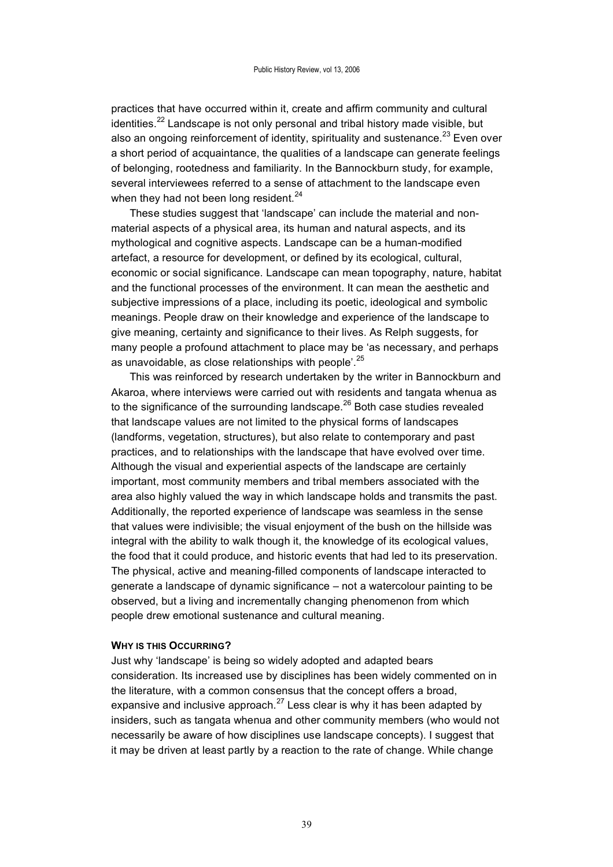practices that have occurred within it, create and affirm community and cultural identities.<sup>22</sup> Landscape is not only personal and tribal history made visible, but also an ongoing reinforcement of identity, spirituality and sustenance.<sup>23</sup> Even over a short period of acquaintance, the qualities of a landscape can generate feelings of belonging, rootedness and familiarity. In the Bannockburn study, for example, several interviewees referred to a sense of attachment to the landscape even when they had not been long resident.<sup>24</sup>

These studies suggest that 'landscape' can include the material and nonmaterial aspects of a physical area, its human and natural aspects, and its mythological and cognitive aspects. Landscape can be a human-modified artefact, a resource for development, or defined by its ecological, cultural, economic or social significance. Landscape can mean topography, nature, habitat and the functional processes of the environment. It can mean the aesthetic and subjective impressions of a place, including its poetic, ideological and symbolic meanings. People draw on their knowledge and experience of the landscape to give meaning, certainty and significance to their lives. As Relph suggests, for many people a profound attachment to place may be 'as necessary, and perhaps as unavoidable, as close relationships with people'.<sup>25</sup>

This was reinforced by research undertaken by the writer in Bannockburn and Akaroa, where interviews were carried out with residents and tangata whenua as to the significance of the surrounding landscape.<sup>26</sup> Both case studies revealed that landscape values are not limited to the physical forms of landscapes (landforms, vegetation, structures), but also relate to contemporary and past practices, and to relationships with the landscape that have evolved over time. Although the visual and experiential aspects of the landscape are certainly important, most community members and tribal members associated with the area also highly valued the way in which landscape holds and transmits the past. Additionally, the reported experience of landscape was seamless in the sense that values were indivisible; the visual enjoyment of the bush on the hillside was integral with the ability to walk though it, the knowledge of its ecological values, the food that it could produce, and historic events that had led to its preservation. The physical, active and meaning-filled components of landscape interacted to generate a landscape of dynamic significance – not a watercolour painting to be observed, but a living and incrementally changing phenomenon from which people drew emotional sustenance and cultural meaning.

### **WHY IS THIS OCCURRING?**

Just why 'landscape' is being so widely adopted and adapted bears consideration. Its increased use by disciplines has been widely commented on in the literature, with a common consensus that the concept offers a broad, expansive and inclusive approach.<sup>27</sup> Less clear is why it has been adapted by insiders, such as tangata whenua and other community members (who would not necessarily be aware of how disciplines use landscape concepts). I suggest that it may be driven at least partly by a reaction to the rate of change. While change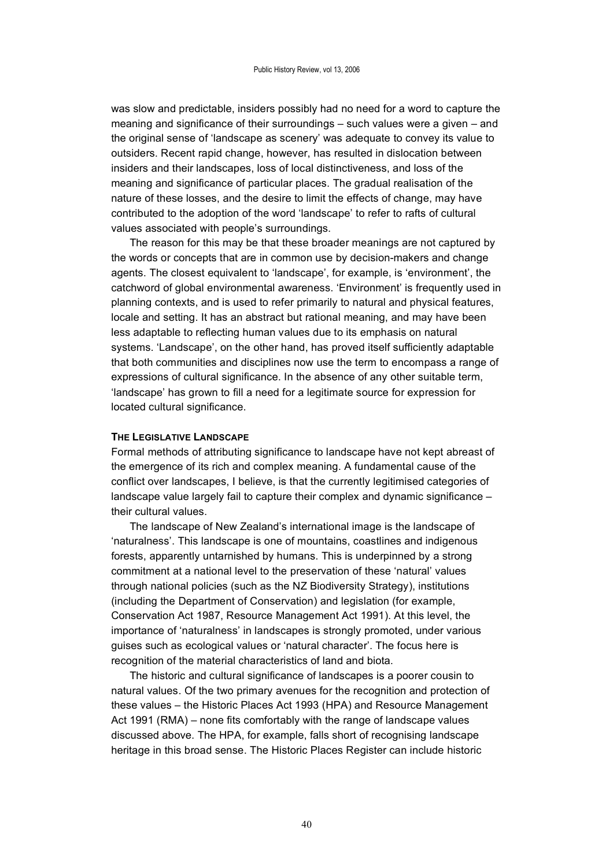was slow and predictable, insiders possibly had no need for a word to capture the meaning and significance of their surroundings – such values were a given – and the original sense of 'landscape as scenery' was adequate to convey its value to outsiders. Recent rapid change, however, has resulted in dislocation between insiders and their landscapes, loss of local distinctiveness, and loss of the meaning and significance of particular places. The gradual realisation of the nature of these losses, and the desire to limit the effects of change, may have contributed to the adoption of the word 'landscape' to refer to rafts of cultural values associated with people's surroundings.

The reason for this may be that these broader meanings are not captured by the words or concepts that are in common use by decision-makers and change agents. The closest equivalent to 'landscape', for example, is 'environment', the catchword of global environmental awareness. 'Environment' is frequently used in planning contexts, and is used to refer primarily to natural and physical features, locale and setting. It has an abstract but rational meaning, and may have been less adaptable to reflecting human values due to its emphasis on natural systems. 'Landscape', on the other hand, has proved itself sufficiently adaptable that both communities and disciplines now use the term to encompass a range of expressions of cultural significance. In the absence of any other suitable term, 'landscape' has grown to fill a need for a legitimate source for expression for located cultural significance.

## **THE LEGISLATIVE LANDSCAPE**

Formal methods of attributing significance to landscape have not kept abreast of the emergence of its rich and complex meaning. A fundamental cause of the conflict over landscapes, I believe, is that the currently legitimised categories of landscape value largely fail to capture their complex and dynamic significance – their cultural values.

The landscape of New Zealand's international image is the landscape of 'naturalness'. This landscape is one of mountains, coastlines and indigenous forests, apparently untarnished by humans. This is underpinned by a strong commitment at a national level to the preservation of these 'natural' values through national policies (such as the NZ Biodiversity Strategy), institutions (including the Department of Conservation) and legislation (for example, Conservation Act 1987, Resource Management Act 1991). At this level, the importance of 'naturalness' in landscapes is strongly promoted, under various guises such as ecological values or 'natural character'. The focus here is recognition of the material characteristics of land and biota.

The historic and cultural significance of landscapes is a poorer cousin to natural values. Of the two primary avenues for the recognition and protection of these values – the Historic Places Act 1993 (HPA) and Resource Management Act 1991 (RMA) – none fits comfortably with the range of landscape values discussed above. The HPA, for example, falls short of recognising landscape heritage in this broad sense. The Historic Places Register can include historic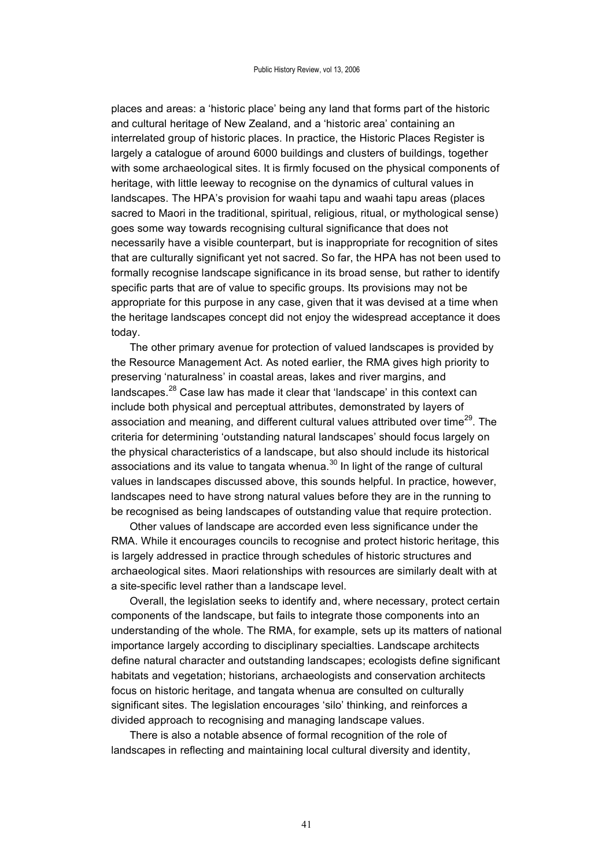places and areas: a 'historic place' being any land that forms part of the historic and cultural heritage of New Zealand, and a 'historic area' containing an interrelated group of historic places. In practice, the Historic Places Register is largely a catalogue of around 6000 buildings and clusters of buildings, together with some archaeological sites. It is firmly focused on the physical components of heritage, with little leeway to recognise on the dynamics of cultural values in landscapes. The HPA's provision for waahi tapu and waahi tapu areas (places sacred to Maori in the traditional, spiritual, religious, ritual, or mythological sense) goes some way towards recognising cultural significance that does not necessarily have a visible counterpart, but is inappropriate for recognition of sites that are culturally significant yet not sacred. So far, the HPA has not been used to formally recognise landscape significance in its broad sense, but rather to identify specific parts that are of value to specific groups. Its provisions may not be appropriate for this purpose in any case, given that it was devised at a time when the heritage landscapes concept did not enjoy the widespread acceptance it does today.

The other primary avenue for protection of valued landscapes is provided by the Resource Management Act. As noted earlier, the RMA gives high priority to preserving 'naturalness' in coastal areas, lakes and river margins, and landscapes.<sup>28</sup> Case law has made it clear that 'landscape' in this context can include both physical and perceptual attributes, demonstrated by layers of association and meaning, and different cultural values attributed over time<sup>29</sup>. The criteria for determining 'outstanding natural landscapes' should focus largely on the physical characteristics of a landscape, but also should include its historical associations and its value to tangata whenua.<sup>30</sup> In light of the range of cultural values in landscapes discussed above, this sounds helpful. In practice, however, landscapes need to have strong natural values before they are in the running to be recognised as being landscapes of outstanding value that require protection.

Other values of landscape are accorded even less significance under the RMA. While it encourages councils to recognise and protect historic heritage, this is largely addressed in practice through schedules of historic structures and archaeological sites. Maori relationships with resources are similarly dealt with at a site-specific level rather than a landscape level.

Overall, the legislation seeks to identify and, where necessary, protect certain components of the landscape, but fails to integrate those components into an understanding of the whole. The RMA, for example, sets up its matters of national importance largely according to disciplinary specialties. Landscape architects define natural character and outstanding landscapes; ecologists define significant habitats and vegetation; historians, archaeologists and conservation architects focus on historic heritage, and tangata whenua are consulted on culturally significant sites. The legislation encourages 'silo' thinking, and reinforces a divided approach to recognising and managing landscape values.

There is also a notable absence of formal recognition of the role of landscapes in reflecting and maintaining local cultural diversity and identity,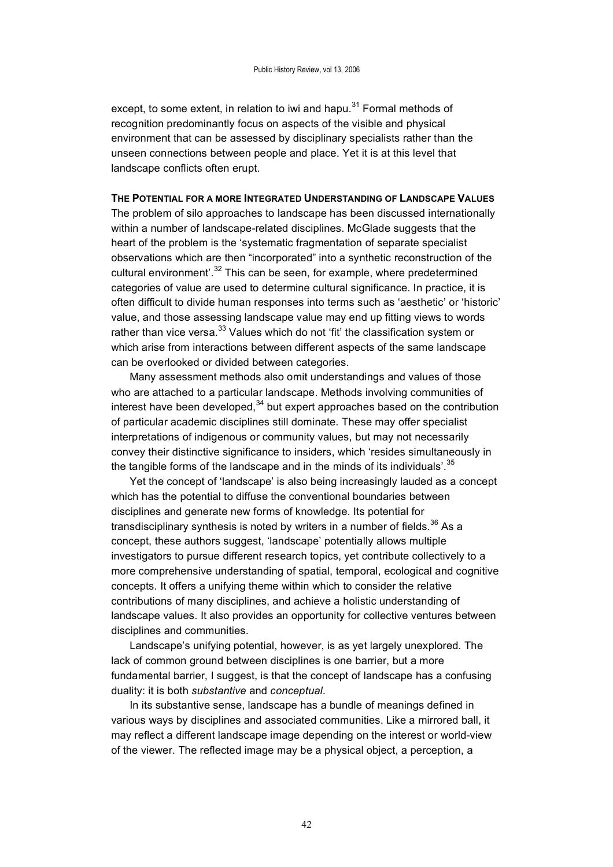except, to some extent, in relation to iwi and hapu.<sup>31</sup> Formal methods of recognition predominantly focus on aspects of the visible and physical environment that can be assessed by disciplinary specialists rather than the unseen connections between people and place. Yet it is at this level that landscape conflicts often erupt.

#### **THE POTENTIAL FOR A MORE INTEGRATED UNDERSTANDING OF LANDSCAPE VALUES**

The problem of silo approaches to landscape has been discussed internationally within a number of landscape-related disciplines. McGlade suggests that the heart of the problem is the 'systematic fragmentation of separate specialist observations which are then "incorporated" into a synthetic reconstruction of the cultural environment'.<sup>32</sup> This can be seen, for example, where predetermined categories of value are used to determine cultural significance. In practice, it is often difficult to divide human responses into terms such as 'aesthetic' or 'historic' value, and those assessing landscape value may end up fitting views to words rather than vice versa.<sup>33</sup> Values which do not 'fit' the classification system or which arise from interactions between different aspects of the same landscape can be overlooked or divided between categories.

Many assessment methods also omit understandings and values of those who are attached to a particular landscape. Methods involving communities of interest have been developed,<sup>34</sup> but expert approaches based on the contribution of particular academic disciplines still dominate. These may offer specialist interpretations of indigenous or community values, but may not necessarily convey their distinctive significance to insiders, which 'resides simultaneously in the tangible forms of the landscape and in the minds of its individuals'.<sup>35</sup>

Yet the concept of 'landscape' is also being increasingly lauded as a concept which has the potential to diffuse the conventional boundaries between disciplines and generate new forms of knowledge. Its potential for transdisciplinary synthesis is noted by writers in a number of fields.<sup>36</sup> As a concept, these authors suggest, 'landscape' potentially allows multiple investigators to pursue different research topics, yet contribute collectively to a more comprehensive understanding of spatial, temporal, ecological and cognitive concepts. It offers a unifying theme within which to consider the relative contributions of many disciplines, and achieve a holistic understanding of landscape values. It also provides an opportunity for collective ventures between disciplines and communities.

Landscape's unifying potential, however, is as yet largely unexplored. The lack of common ground between disciplines is one barrier, but a more fundamental barrier, I suggest, is that the concept of landscape has a confusing duality: it is both *substantive* and *conceptual*.

In its substantive sense, landscape has a bundle of meanings defined in various ways by disciplines and associated communities. Like a mirrored ball, it may reflect a different landscape image depending on the interest or world-view of the viewer. The reflected image may be a physical object, a perception, a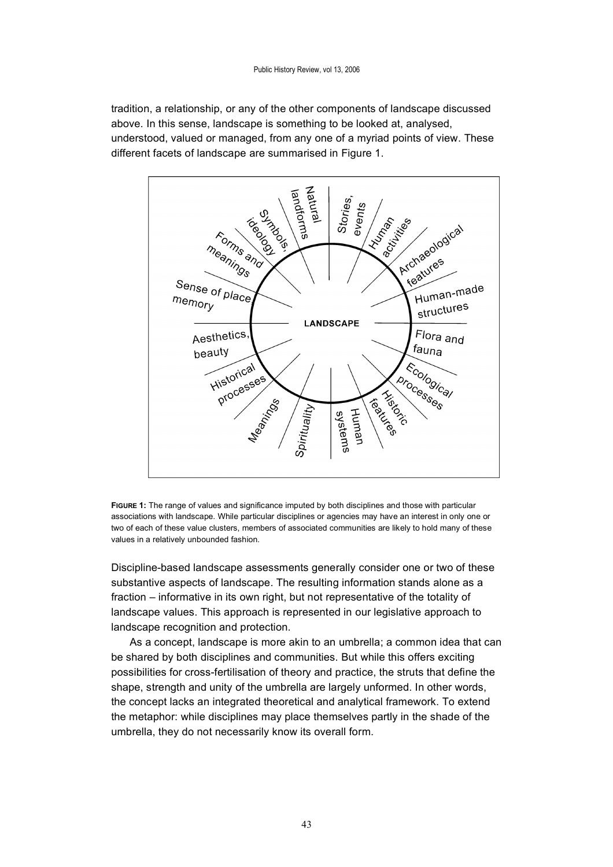tradition, a relationship, or any of the other components of landscape discussed above. In this sense, landscape is something to be looked at, analysed, understood, valued or managed, from any one of a myriad points of view. These different facets of landscape are summarised in Figure 1.



**FIGURE 1:** The range of values and significance imputed by both disciplines and those with particular associations with landscape. While particular disciplines or agencies may have an interest in only one or two of each of these value clusters, members of associated communities are likely to hold many of these values in a relatively unbounded fashion.

Discipline-based landscape assessments generally consider one or two of these substantive aspects of landscape. The resulting information stands alone as a fraction – informative in its own right, but not representative of the totality of landscape values. This approach is represented in our legislative approach to landscape recognition and protection.

As a concept, landscape is more akin to an umbrella; a common idea that can be shared by both disciplines and communities. But while this offers exciting possibilities for cross-fertilisation of theory and practice, the struts that define the shape, strength and unity of the umbrella are largely unformed. In other words, the concept lacks an integrated theoretical and analytical framework. To extend the metaphor: while disciplines may place themselves partly in the shade of the umbrella, they do not necessarily know its overall form.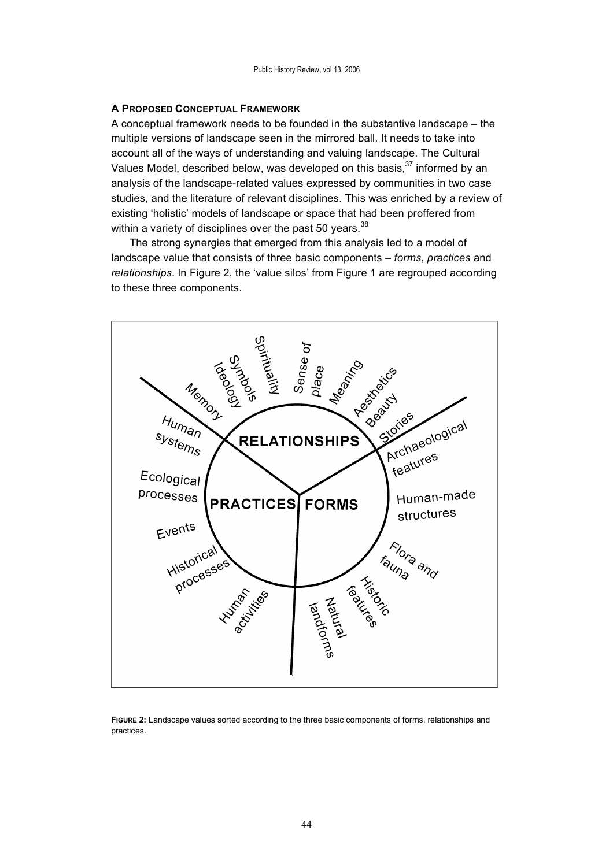## **A PROPOSED CONCEPTUAL FRAMEWORK**

A conceptual framework needs to be founded in the substantive landscape – the multiple versions of landscape seen in the mirrored ball. It needs to take into account all of the ways of understanding and valuing landscape. The Cultural Values Model, described below, was developed on this basis,  $37$  informed by an analysis of the landscape-related values expressed by communities in two case studies, and the literature of relevant disciplines. This was enriched by a review of existing 'holistic' models of landscape or space that had been proffered from within a variety of disciplines over the past 50 years.  $^{38}$ 

The strong synergies that emerged from this analysis led to a model of landscape value that consists of three basic components – *forms*, *practices* and *relationships*. In Figure 2, the 'value silos' from Figure 1 are regrouped according to these three components.



**FIGURE 2:** Landscape values sorted according to the three basic components of forms, relationships and practices.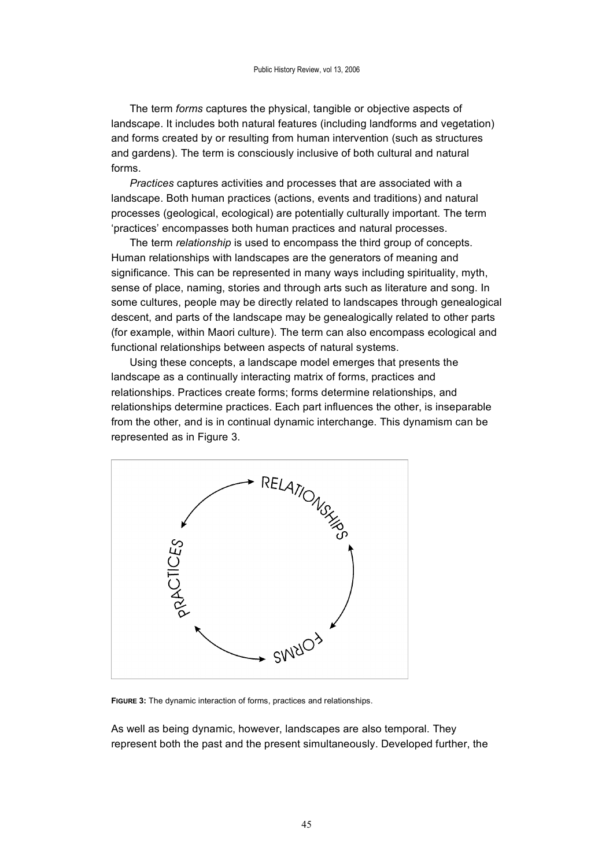The term *forms* captures the physical, tangible or objective aspects of landscape. It includes both natural features (including landforms and vegetation) and forms created by or resulting from human intervention (such as structures and gardens). The term is consciously inclusive of both cultural and natural forms.

*Practices* captures activities and processes that are associated with a landscape. Both human practices (actions, events and traditions) and natural processes (geological, ecological) are potentially culturally important. The term 'practices' encompasses both human practices and natural processes.

The term *relationship* is used to encompass the third group of concepts. Human relationships with landscapes are the generators of meaning and significance. This can be represented in many ways including spirituality, myth, sense of place, naming, stories and through arts such as literature and song. In some cultures, people may be directly related to landscapes through genealogical descent, and parts of the landscape may be genealogically related to other parts (for example, within Maori culture). The term can also encompass ecological and functional relationships between aspects of natural systems.

Using these concepts, a landscape model emerges that presents the landscape as a continually interacting matrix of forms, practices and relationships. Practices create forms; forms determine relationships, and relationships determine practices. Each part influences the other, is inseparable from the other, and is in continual dynamic interchange. This dynamism can be represented as in Figure 3.



**FIGURE 3:** The dynamic interaction of forms, practices and relationships.

As well as being dynamic, however, landscapes are also temporal. They represent both the past and the present simultaneously. Developed further, the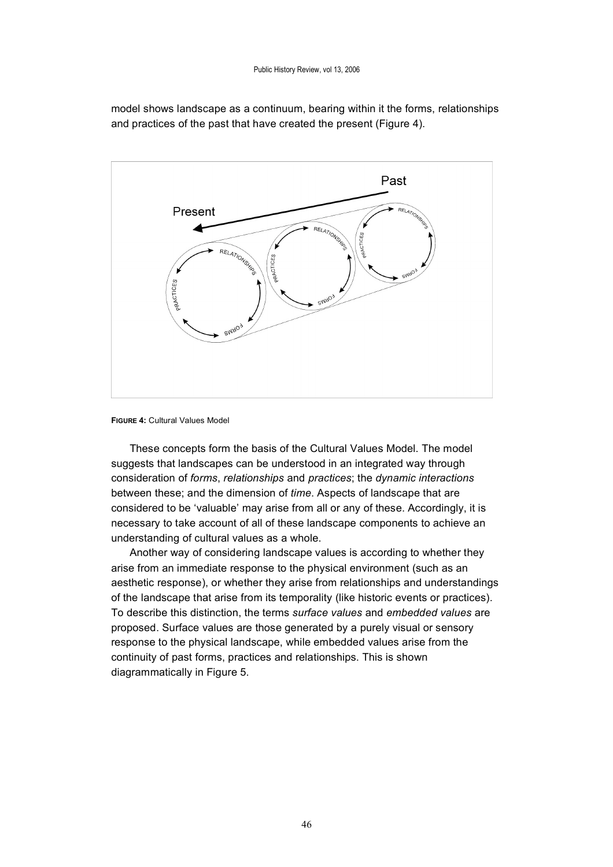

model shows landscape as a continuum, bearing within it the forms, relationships and practices of the past that have created the present (Figure 4).

These concepts form the basis of the Cultural Values Model. The model suggests that landscapes can be understood in an integrated way through consideration of *forms*, *relationships* and *practices*; the *dynamic interactions* between these; and the dimension of *time*. Aspects of landscape that are considered to be 'valuable' may arise from all or any of these. Accordingly, it is necessary to take account of all of these landscape components to achieve an understanding of cultural values as a whole.

Another way of considering landscape values is according to whether they arise from an immediate response to the physical environment (such as an aesthetic response), or whether they arise from relationships and understandings of the landscape that arise from its temporality (like historic events or practices). To describe this distinction, the terms *surface values* and *embedded values* are proposed. Surface values are those generated by a purely visual or sensory response to the physical landscape, while embedded values arise from the continuity of past forms, practices and relationships. This is shown diagrammatically in Figure 5.

**FIGURE 4:** Cultural Values Model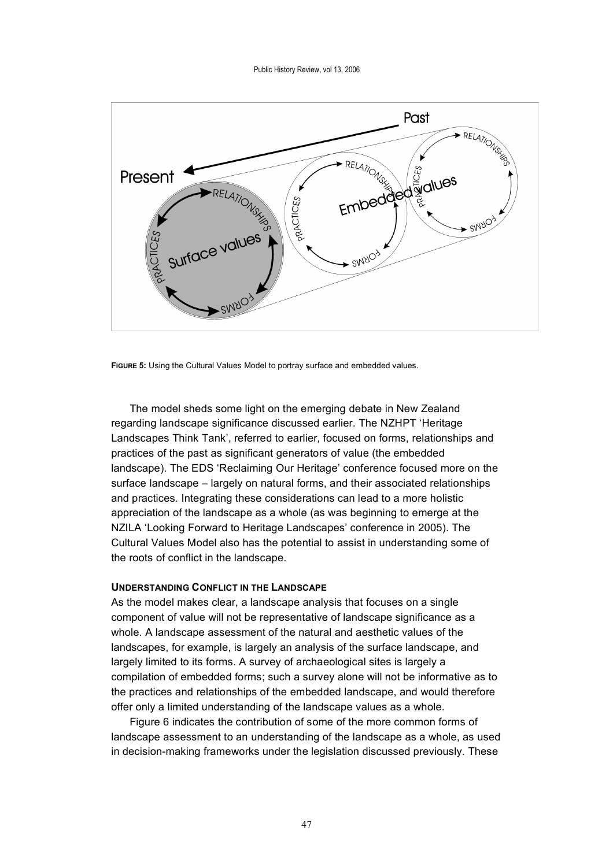

**FIGURE 5:** Using the Cultural Values Model to portray surface and embedded values.

The model sheds some light on the emerging debate in New Zealand regarding landscape significance discussed earlier. The NZHPT 'Heritage Landscapes Think Tank', referred to earlier, focused on forms, relationships and practices of the past as significant generators of value (the embedded landscape). The EDS 'Reclaiming Our Heritage' conference focused more on the surface landscape – largely on natural forms, and their associated relationships and practices. Integrating these considerations can lead to a more holistic appreciation of the landscape as a whole (as was beginning to emerge at the NZILA 'Looking Forward to Heritage Landscapes' conference in 2005). The Cultural Values Model also has the potential to assist in understanding some of the roots of conflict in the landscape.

## **UNDERSTANDING CONFLICT IN THE LANDSCAPE**

As the model makes clear, a landscape analysis that focuses on a single component of value will not be representative of landscape significance as a whole. A landscape assessment of the natural and aesthetic values of the landscapes, for example, is largely an analysis of the surface landscape, and largely limited to its forms. A survey of archaeological sites is largely a compilation of embedded forms; such a survey alone will not be informative as to the practices and relationships of the embedded landscape, and would therefore offer only a limited understanding of the landscape values as a whole.

Figure 6 indicates the contribution of some of the more common forms of landscape assessment to an understanding of the landscape as a whole, as used in decision-making frameworks under the legislation discussed previously. These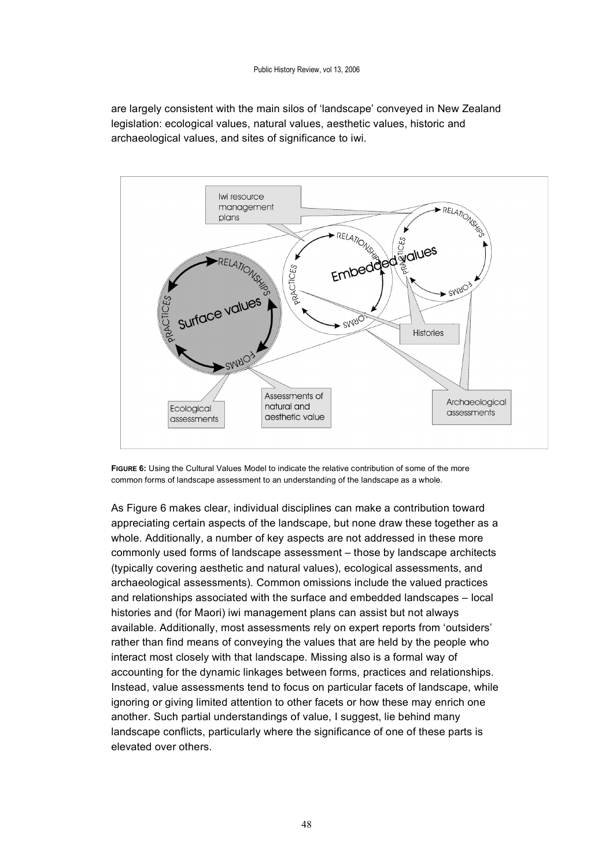are largely consistent with the main silos of 'landscape' conveyed in New Zealand legislation: ecological values, natural values, aesthetic values, historic and archaeological values, and sites of significance to iwi.



**FIGURE 6:** Using the Cultural Values Model to indicate the relative contribution of some of the more common forms of landscape assessment to an understanding of the landscape as a whole.

As Figure 6 makes clear, individual disciplines can make a contribution toward appreciating certain aspects of the landscape, but none draw these together as a whole. Additionally, a number of key aspects are not addressed in these more commonly used forms of landscape assessment – those by landscape architects (typically covering aesthetic and natural values), ecological assessments, and archaeological assessments). Common omissions include the valued practices and relationships associated with the surface and embedded landscapes – local histories and (for Maori) iwi management plans can assist but not always available. Additionally, most assessments rely on expert reports from 'outsiders' rather than find means of conveying the values that are held by the people who interact most closely with that landscape. Missing also is a formal way of accounting for the dynamic linkages between forms, practices and relationships. Instead, value assessments tend to focus on particular facets of landscape, while ignoring or giving limited attention to other facets or how these may enrich one another. Such partial understandings of value, I suggest, lie behind many landscape conflicts, particularly where the significance of one of these parts is elevated over others.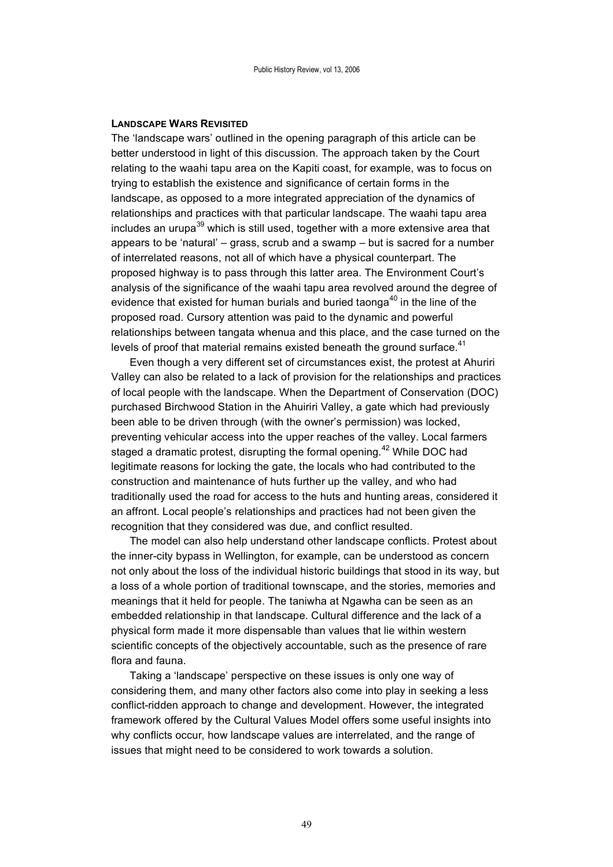### **LANDSCAPE WARS REVISITED**

The 'landscape wars' outlined in the opening paragraph of this article can be better understood in light of this discussion. The approach taken by the Court relating to the waahi tapu area on the Kapiti coast, for example, was to focus on trying to establish the existence and significance of certain forms in the landscape, as opposed to a more integrated appreciation of the dynamics of relationships and practices with that particular landscape. The waahi tapu area includes an urupa $^{39}$  which is still used, together with a more extensive area that appears to be 'natural' – grass, scrub and a swamp – but is sacred for a number of interrelated reasons, not all of which have a physical counterpart. The proposed highway is to pass through this latter area. The Environment Court's analysis of the significance of the waahi tapu area revolved around the degree of evidence that existed for human burials and buried taonga $40$  in the line of the proposed road. Cursory attention was paid to the dynamic and powerful relationships between tangata whenua and this place, and the case turned on the levels of proof that material remains existed beneath the ground surface.<sup>41</sup>

Even though a very different set of circumstances exist, the protest at Ahuriri Valley can also be related to a lack of provision for the relationships and practices of local people with the landscape. When the Department of Conservation (DOC) purchased Birchwood Station in the Ahuiriri Valley, a gate which had previously been able to be driven through (with the owner's permission) was locked, preventing vehicular access into the upper reaches of the valley. Local farmers staged a dramatic protest, disrupting the formal opening.<sup>42</sup> While DOC had legitimate reasons for locking the gate, the locals who had contributed to the construction and maintenance of huts further up the valley, and who had traditionally used the road for access to the huts and hunting areas, considered it an affront. Local people's relationships and practices had not been given the recognition that they considered was due, and conflict resulted.

The model can also help understand other landscape conflicts. Protest about the inner-city bypass in Wellington, for example, can be understood as concern not only about the loss of the individual historic buildings that stood in its way, but a loss of a whole portion of traditional townscape, and the stories, memories and meanings that it held for people. The taniwha at Ngawha can be seen as an embedded relationship in that landscape. Cultural difference and the lack of a physical form made it more dispensable than values that lie within western scientific concepts of the objectively accountable, such as the presence of rare flora and fauna.

Taking a 'landscape' perspective on these issues is only one way of considering them, and many other factors also come into play in seeking a less conflict-ridden approach to change and development. However, the integrated framework offered by the Cultural Values Model offers some useful insights into why conflicts occur, how landscape values are interrelated, and the range of issues that might need to be considered to work towards a solution.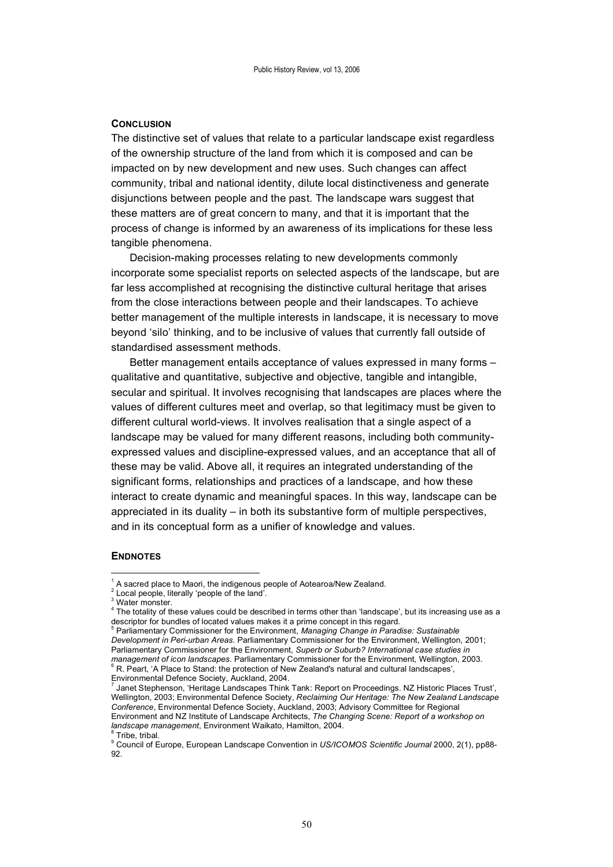## **CONCLUSION**

The distinctive set of values that relate to a particular landscape exist regardless of the ownership structure of the land from which it is composed and can be impacted on by new development and new uses. Such changes can affect community, tribal and national identity, dilute local distinctiveness and generate disjunctions between people and the past. The landscape wars suggest that these matters are of great concern to many, and that it is important that the process of change is informed by an awareness of its implications for these less tangible phenomena.

Decision-making processes relating to new developments commonly incorporate some specialist reports on selected aspects of the landscape, but are far less accomplished at recognising the distinctive cultural heritage that arises from the close interactions between people and their landscapes. To achieve better management of the multiple interests in landscape, it is necessary to move beyond 'silo' thinking, and to be inclusive of values that currently fall outside of standardised assessment methods.

Better management entails acceptance of values expressed in many forms – qualitative and quantitative, subjective and objective, tangible and intangible, secular and spiritual. It involves recognising that landscapes are places where the values of different cultures meet and overlap, so that legitimacy must be given to different cultural world-views. It involves realisation that a single aspect of a landscape may be valued for many different reasons, including both communityexpressed values and discipline-expressed values, and an acceptance that all of these may be valid. Above all, it requires an integrated understanding of the significant forms, relationships and practices of a landscape, and how these interact to create dynamic and meaningful spaces. In this way, landscape can be appreciated in its duality – in both its substantive form of multiple perspectives, and in its conceptual form as a unifier of knowledge and values.

## **ENDNOTES**

 $\overline{a}$ 

 $\frac{1}{2}$  A sacred place to Maori, the indigenous people of Aotearoa/New Zealand.<br>  $\frac{2}{3}$  Local people, literally 'people of the land'.<br>  $\frac{3}{3}$  Water monster.<br>  $\frac{4}{3}$  The totality of these values could be describ descriptor for bundles of located values makes it <sup>a</sup> prime concept in this regard. <sup>5</sup> Parliamentary Commissioner for the Environment, *Managing Change in Paradise: Sustainable*

*Development in Peri-urban Areas*. Parliamentary Commissioner for the Environment, Wellington, 2001; Parliamentary Commissioner for the Environment, *Superb or Suburb? International case studies in management of icon landscapes*. Parliamentary Commissioner for the Environment, Wellington, 2003.<br>
<sup>8</sup> R. Peart, 'A Place to Stand: the protection of New Zealand's natural and cultural landscapes',<br>
Environmental Defence

Janet Stephenson, 'Heritage Landscapes Think Tank: Report on Proceedings. NZ Historic Places Trust', Wellington, 2003; Environmental Defence Society, *Reclaiming Our Heritage: The New Zealand Landscape Conference*, Environmental Defence Society, Auckland, 2003; Advisory Committee for Regional Environment and NZ Institute of Landscape Architects, *The Changing Scene: Report of a workshop on*

*landscape management*, Environment Waikato, Hamilton, 2004. <sup>8</sup> Tribe, tribal. <sup>9</sup> Council of Europe, European Landscape Convention in *US/ICOMOS Scientific Journal* 2000, 2(1), pp88- 92.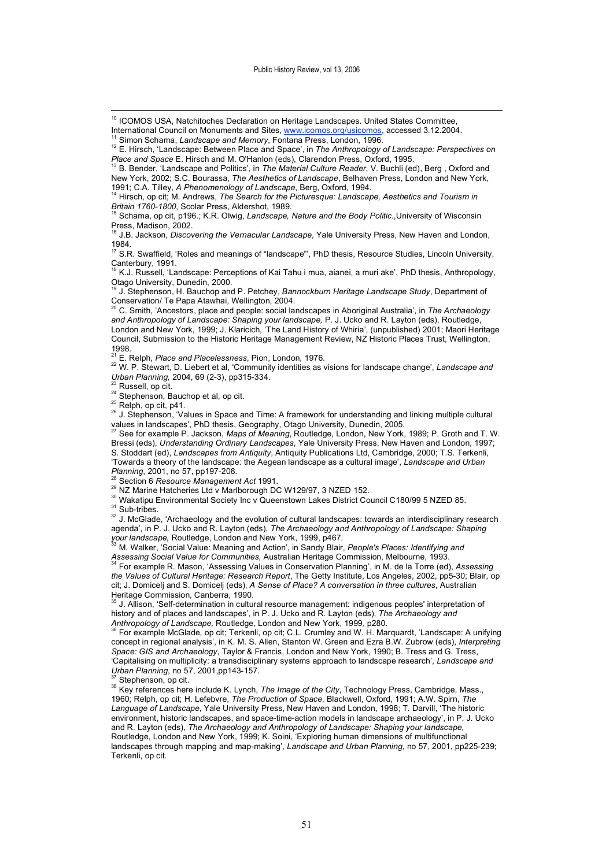<sup>10</sup> ICOMOS USA, Natchitoches Declaration on Heritage Landscapes. United States Committee, International Council on Monuments and Sites,  $www.icomos.org/usionos$ , accessed 3.12.2004.

New York, 2002; S.C. Bourassa, *The Aesthetics of Landscape*, Belhaven Press, London and New York,

<sup>14</sup> Hirsch, op cit; M. Andrews, The Search for the Picturesque: Landscape, Aesthetics and Tourism in<br>Britain 1760-1800, Scolar Press, Aldershot, 1989.

*Britain 1760-1800*, Scolar Press, Aldershot, 1989. <sup>15</sup> Schama, op cit, p196.; K.R. Olwig, *Landscape, Nature and the Body Politic*.,University of Wisconsin

Press, Madison, 2002.<br><sup>16</sup> J.B. Jackson, *Discovering the Vernacular Landscape*, Yale University Press, New Haven and London,<br>1984

<sup>17</sup> S.R. Swaffield, 'Roles and meanings of "landscape"', PhD thesis, Resource Studies, Lincoln University,<br>Canterbury, 1991.

 $\beta$  K.J. Russell, 'Landscape: Perceptions of Kai Tahu i mua, aianei, a muri ake', PhD thesis, Anthropology,

Otago University, Dunedin, 2000.<br><sup>19</sup> J. Stephenson, H. Bauchop and P. Petchey, *Bannockburn Heritage Landscape Study*, Department of<br>Conservation/ Te Papa Atawhai, Wellington, 2004.

<sup>2</sup> C. Smith, 'Ancestors, place and people: social landscapes in Aboriginal Australia', in The Archaeology *and Anthropology of Landscape: Shaping your landscape,* P. J. Ucko and R. Layton (eds), Routledge, London and New York, 1999; J. Klaricich, 'The Land History of Whiria', (unpublished) 2001; Maori Heritage Council, Submission to the Historic Heritage Management Review, NZ Historic Places Trust, Wellington, 1998.<br>
<sup>21</sup> E. Relph, *Place and Placelessness*, Pion, London, 1976.

22 W. P. Stewart, D. Liebert et al, 'Community identities as visions for landscape change', *Landscape and*<br>*Urban Planning,* 2004, 69 (2-3), pp315-334.

<sup>23</sup> Russell, op cit.<br>
<sup>24</sup> Stephenson, Bauchop et al, op cit.<br>
<sup>25</sup> Relph, op cit, p41.<br>
<sup>25</sup> Relph, op cit, p41.<br>
<sup>26</sup> J. Stephenson, 'Values in Space and Time: A framework for understanding and linking multiple cultura

See for example P. Jackson, Maps of Meaning, Routledge, London, New York, 1989; P. Groth and T. W. Bressi (eds), *Understanding Ordinary Landscapes*, Yale University Press, New Haven and London, 1997; S. Stoddart (ed), *Landscapes from Antiquity*, Antiquity Publications Ltd, Cambridge, 2000; T.S. Terkenli, 'Towards a theory of the landscape: the Aegean landscape as a cultural image', *Landscape and Urban*

<sup>28</sup> Section 6 Resource Management Act 1991.<br><sup>29</sup> NZ Marine Hatcheries Ltd v Marlborough DC W129/97, 3 NZED 152.<br><sup>30</sup> Wakatipu Environmental Society Inc v Queenstown Lakes District Council C180/99 5 NZED 85.<br><sup>31</sup> Sub-trib

agenda', in P. J. Ucko and R. Layton (eds), *The Archaeology and Anthropology of Landscape: Shaping*

*your landscape,* Routledge, London and New York, 1999, p467. <sup>33</sup> M. Walker, 'Social Value: Meaning and Action', in Sandy Blair, *People's Places: Identifying and* Assessing Social Value for Communities, Australian Heritage Commission, Melbourne, 1993.<br><sup>34</sup> For example R. Mason, 'Assessing Values in Conservation Planning', in M. de la Torre (ed), Assessing

*the Values of Cultural Heritage: Research Report*, The Getty Institute, Los Angeles, 2002, pp5-30; Blair, op cit; J. Domicelj and S. Domicelj (eds), *A Sense of Place? A conversation in three cultures*, Australian Heritage Commission, Canberra, 1990.<br><sup>35</sup> J. Allison, 'Self-determination in cultural resource management: indigenous peoples' interpretation of

history and of places and landscapes', in P. J. Ucko and R. Layton (eds), *The Archaeology and Anthropology of Landscape,* Routledge, London and New York, 1999, p280. <sup>36</sup> For example McGlade, op cit; Terkenli, op cit; C.L. Crumley and W. H. Marquardt, 'Landscape: <sup>A</sup> unifying

concept in regional analysis', in K. M. S. Allen, Stanton W. Green and Ezra B.W. Zubrow (eds), *Interpreting Space: GIS and Archaeology*, Taylor & Francis, London and New York, 1990; B. Tress and G. Tress, 'Capitalising on multiplicity: a transdisciplinary systems approach to landscape research', *Landscape and*

<sup>37</sup> Stephenson, op cit.<br><sup>38</sup> Key references here include K. Lynch, *The Image of the City*, Technology Press, Cambridge, Mass., 1960; Relph, op cit; H. Lefebvre, *The Production of Space*, Blackwell, Oxford, 1991; A.W. Spirn, *The Language of Landscape*, Yale University Press, New Haven and London, 1998; T. Darvill, 'The historic environment, historic landscapes, and space-time-action models in landscape archaeology', in P. J. Ucko and R. Layton (eds), *The Archaeology and Anthropology of Landscape: Shaping your landscape,* Routledge, London and New York, 1999; K. Soini, 'Exploring human dimensions of multifunctional landscapes through mapping and map-making', *Landscape and Urban Planning*, no 57, 2001, pp225-239; Terkenli, op cit.

<sup>&</sup>lt;sup>11</sup> Simon Schama, Landscape and Memory, Fontana Press, London, 1996.<br><sup>12</sup> E. Hirsch, 'Landscape: Between Place and Space', in The Anthropology of Landscape: Perspectives on<br>Place and Space E. Hirsch and M. O'Hanlon (eds), <sup>13</sup> B. Bender, 'Landscape and Politics', in The Material Culture Reader, V. Buchli (ed), Berg, Oxford and